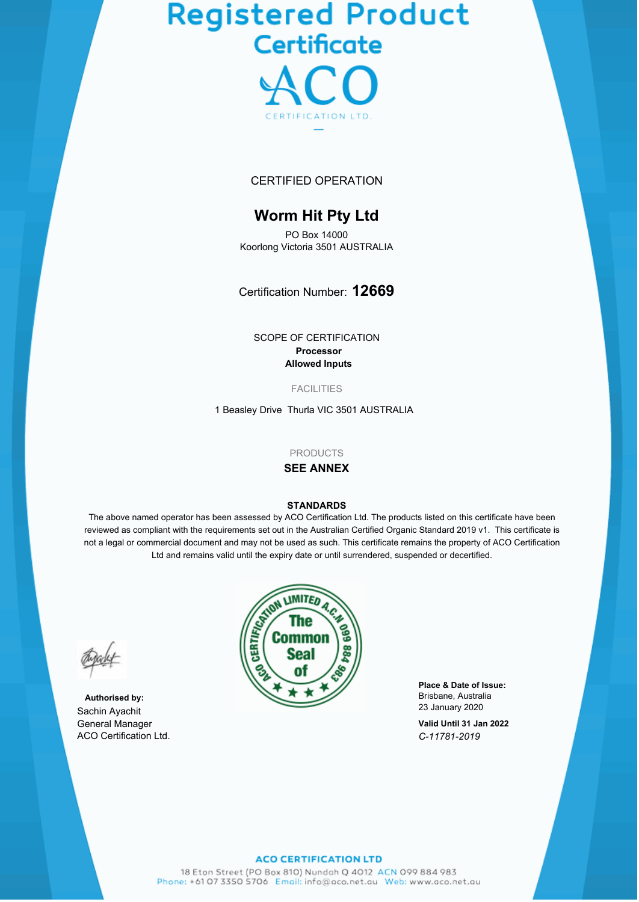# Registered Product<br>Certificate



# CERTIFIED OPERATION

# **Worm Hit Pty Ltd**

PO Box 14000 Koorlong Victoria 3501 AUSTRALIA

Certification Number: **12669**

SCOPE OF CERTIFICATION **Processor Allowed Inputs**

FACILITIES

1 Beasley Drive Thurla VIC 3501 AUSTRALIA

#### **PRODUCTS**

# **SEE ANNEX**

#### **STANDARDS**

The above named operator has been assessed by ACO Certification Ltd. The products listed on this certificate have been reviewed as compliant with the requirements set out in the Australian Certified Organic Standard 2019 v1. This certificate is not a legal or commercial document and may not be used as such. This certificate remains the property of ACO Certification Ltd and remains valid until the expiry date or until surrendered, suspended or decertified.

**Authorised by:** Sachin Ayachit General Manager ACO Certification Ltd.



**Place & Date of Issue:** Brisbane, Australia 23 January 2020

**Valid Until 31 Jan 2022** *C-11781-2019*

#### **ACO CERTIFICATION LTD**

18 Eton Street (PO Box 810) Nundoh Q 4012 ACN 099 884 983 Phone: +61 07 3350 5706 Email: info@aco.net.au Web: www.aco.net.au